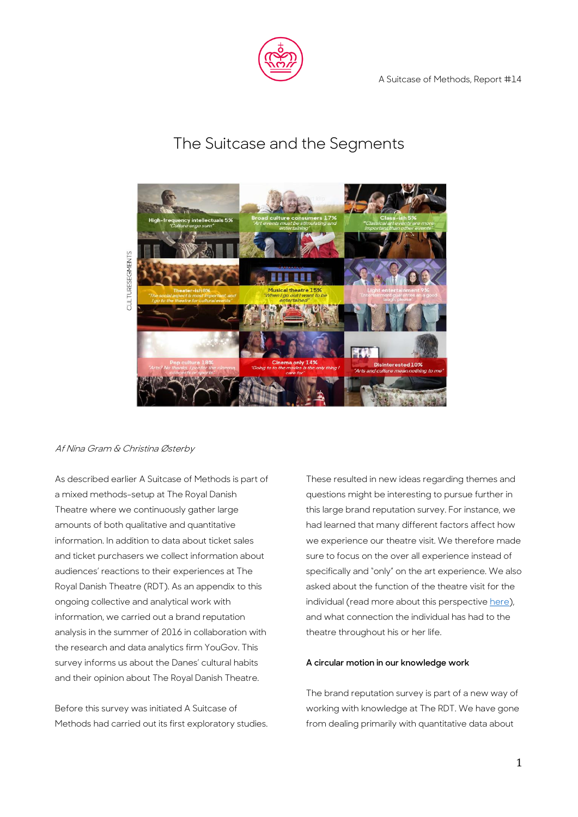

## The Suitcase and the Segments



# Af Nina Gram & Christina Østerby

As described earlier A Suitcase of Methods is part of a mixed methods-setup at The Royal Danish Theatre where we continuously gather large amounts of both qualitative and quantitative information. In addition to data about ticket sales and ticket purchasers we collect information about audiences' reactions to their experiences at The Royal Danish Theatre (RDT). As an appendix to this ongoing collective and analytical work with information, we carried out a brand reputation analysis in the summer of 2016 in collaboration with the research and data analytics firm YouGov. This survey informs us about the Danes' cultural habits and their opinion about The Royal Danish Theatre.

Before this survey was initiated A Suitcase of Methods had carried out its first exploratory studies.

These resulted in new ideas regarding themes and questions might be interesting to pursue further in this large brand reputation survey. For instance, we had learned that many different factors affect how we experience our theatre visit. We therefore made sure to focus on the over all experience instead of specifically and "only" on the art experience. We also asked about the function of the theatre visit for the individual (read more about this perspectiv[e here\)](https://asuitcaseofmethods.files.wordpress.com/2016/11/rapport-7.pdf), and what connection the individual has had to the theatre throughout his or her life.

### **A circular motion in our knowledge work**

The brand reputation survey is part of a new way of working with knowledge at The RDT. We have gone from dealing primarily with quantitative data about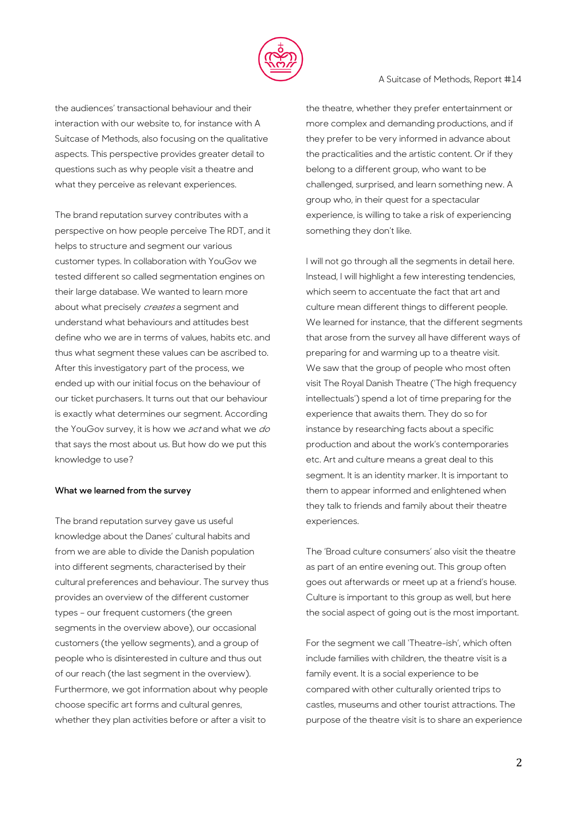

## the audiences' transactional behaviour and their interaction with our website to, for instance with A Suitcase of Methods, also focusing on the qualitative aspects. This perspective provides greater detail to questions such as why people visit a theatre and what they perceive as relevant experiences.

The brand reputation survey contributes with a perspective on how people perceive The RDT, and it helps to structure and segment our various customer types. In collaboration with YouGov we tested different so called segmentation engines on their large database. We wanted to learn more about what precisely *creates* a segment and understand what behaviours and attitudes best define who we are in terms of values, habits etc. and thus what segment these values can be ascribed to. After this investigatory part of the process, we ended up with our initial focus on the behaviour of our ticket purchasers. It turns out that our behaviour is exactly what determines our segment. According the YouGov survey, it is how we act and what we do that says the most about us. But how do we put this knowledge to use?

### **What we learned from the survey**

The brand reputation survey gave us useful knowledge about the Danes' cultural habits and from we are able to divide the Danish population into different segments, characterised by their cultural preferences and behaviour. The survey thus provides an overview of the different customer types – our frequent customers (the green segments in the overview above), our occasional customers (the yellow segments), and a group of people who is disinterested in culture and thus out of our reach (the last segment in the overview). Furthermore, we got information about why people choose specific art forms and cultural genres, whether they plan activities before or after a visit to

the theatre, whether they prefer entertainment or more complex and demanding productions, and if they prefer to be very informed in advance about the practicalities and the artistic content. Or if they belong to a different group, who want to be challenged, surprised, and learn something new. A group who, in their quest for a spectacular experience, is willing to take a risk of experiencing something they don't like.

A Suitcase of Methods, Report #14

I will not go through all the segments in detail here. Instead, I will highlight a few interesting tendencies, which seem to accentuate the fact that art and culture mean different things to different people. We learned for instance, that the different segments that arose from the survey all have different ways of preparing for and warming up to a theatre visit. We saw that the group of people who most often visit The Royal Danish Theatre ('The high frequency intellectuals') spend a lot of time preparing for the experience that awaits them. They do so for instance by researching facts about a specific production and about the work's contemporaries etc. Art and culture means a great deal to this segment. It is an identity marker. It is important to them to appear informed and enlightened when they talk to friends and family about their theatre experiences.

The 'Broad culture consumers' also visit the theatre as part of an entire evening out. This group often goes out afterwards or meet up at a friend's house. Culture is important to this group as well, but here the social aspect of going out is the most important.

For the segment we call 'Theatre-ish', which often include families with children, the theatre visit is a family event. It is a social experience to be compared with other culturally oriented trips to castles, museums and other tourist attractions. The purpose of the theatre visit is to share an experience